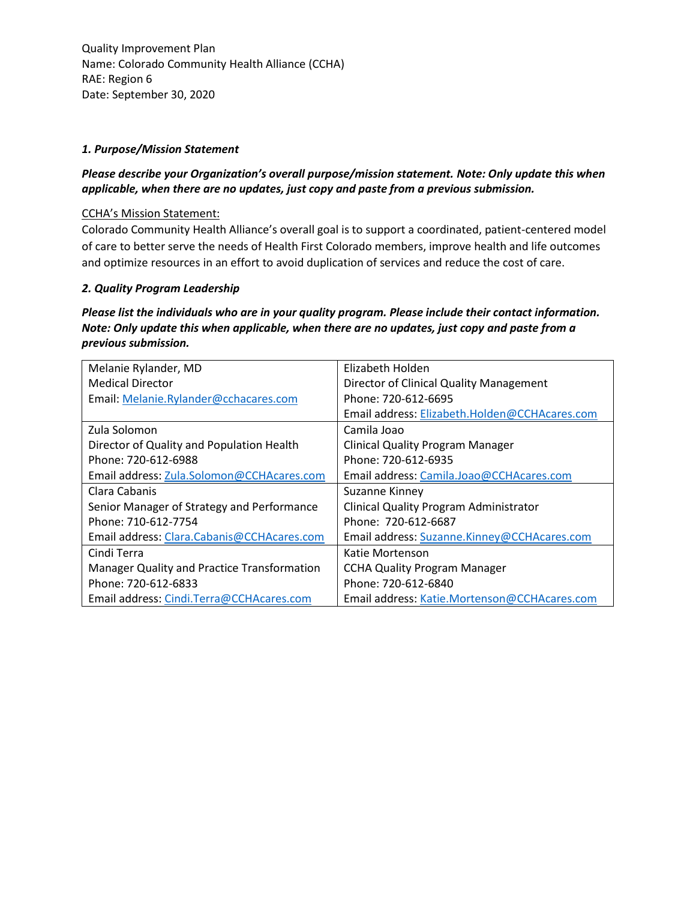### *1. Purpose/Mission Statement*

# *Please describe your Organization's overall purpose/mission statement. Note: Only update this when applicable, when there are no updates, just copy and paste from a previous submission.*

#### CCHA's Mission Statement:

Colorado Community Health Alliance's overall goal is to support a coordinated, patient-centered model of care to better serve the needs of Health First Colorado members, improve health and life outcomes and optimize resources in an effort to avoid duplication of services and reduce the cost of care.

#### *2. Quality Program Leadership*

*Please list the individuals who are in your quality program. Please include their contact information. Note: Only update this when applicable, when there are no updates, just copy and paste from a previous submission.*

| Melanie Rylander, MD                        | Elizabeth Holden                              |
|---------------------------------------------|-----------------------------------------------|
| <b>Medical Director</b>                     | Director of Clinical Quality Management       |
| Email: Melanie.Rylander@cchacares.com       | Phone: 720-612-6695                           |
|                                             | Email address: Elizabeth.Holden@CCHAcares.com |
| Zula Solomon                                | Camila Joao                                   |
| Director of Quality and Population Health   | <b>Clinical Quality Program Manager</b>       |
| Phone: 720-612-6988                         | Phone: 720-612-6935                           |
| Email address: Zula.Solomon@CCHAcares.com   | Email address: Camila.Joao@CCHAcares.com      |
| Clara Cabanis                               | Suzanne Kinney                                |
| Senior Manager of Strategy and Performance  | Clinical Quality Program Administrator        |
| Phone: 710-612-7754                         | Phone: 720-612-6687                           |
| Email address: Clara.Cabanis@CCHAcares.com  | Email address: Suzanne.Kinney@CCHAcares.com   |
| Cindi Terra                                 | Katie Mortenson                               |
| Manager Quality and Practice Transformation | <b>CCHA Quality Program Manager</b>           |
| Phone: 720-612-6833                         | Phone: 720-612-6840                           |
| Email address: Cindi.Terra@CCHAcares.com    | Email address: Katie.Mortenson@CCHAcares.com  |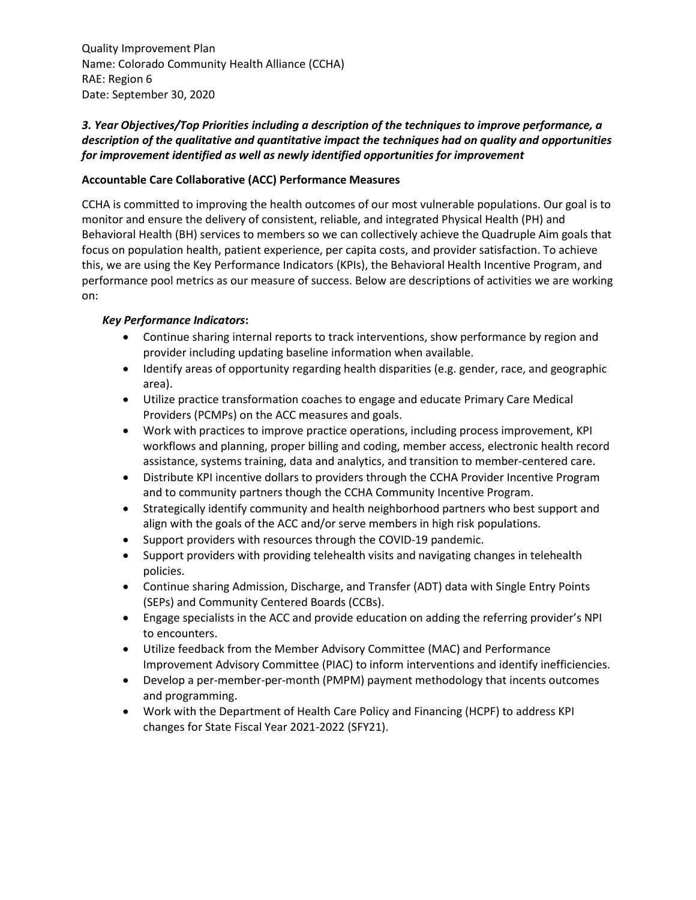# *3. Year Objectives/Top Priorities including a description of the techniques to improve performance, a description of the qualitative and quantitative impact the techniques had on quality and opportunities for improvement identified as well as newly identified opportunities for improvement*

### **Accountable Care Collaborative (ACC) Performance Measures**

CCHA is committed to improving the health outcomes of our most vulnerable populations. Our goal is to monitor and ensure the delivery of consistent, reliable, and integrated Physical Health (PH) and Behavioral Health (BH) services to members so we can collectively achieve the Quadruple Aim goals that focus on population health, patient experience, per capita costs, and provider satisfaction. To achieve this, we are using the Key Performance Indicators (KPIs), the Behavioral Health Incentive Program, and performance pool metrics as our measure of success. Below are descriptions of activities we are working on:

#### *Key Performance Indicators***:**

- Continue sharing internal reports to track interventions, show performance by region and provider including updating baseline information when available.
- Identify areas of opportunity regarding health disparities (e.g. gender, race, and geographic area).
- Utilize practice transformation coaches to engage and educate Primary Care Medical Providers (PCMPs) on the ACC measures and goals.
- Work with practices to improve practice operations, including process improvement, KPI workflows and planning, proper billing and coding, member access, electronic health record assistance, systems training, data and analytics, and transition to member-centered care.
- Distribute KPI incentive dollars to providers through the CCHA Provider Incentive Program and to community partners though the CCHA Community Incentive Program.
- Strategically identify community and health neighborhood partners who best support and align with the goals of the ACC and/or serve members in high risk populations.
- Support providers with resources through the COVID-19 pandemic.
- Support providers with providing telehealth visits and navigating changes in telehealth policies.
- Continue sharing Admission, Discharge, and Transfer (ADT) data with Single Entry Points (SEPs) and Community Centered Boards (CCBs).
- Engage specialists in the ACC and provide education on adding the referring provider's NPI to encounters.
- Utilize feedback from the Member Advisory Committee (MAC) and Performance Improvement Advisory Committee (PIAC) to inform interventions and identify inefficiencies.
- Develop a per-member-per-month (PMPM) payment methodology that incents outcomes and programming.
- Work with the Department of Health Care Policy and Financing (HCPF) to address KPI changes for State Fiscal Year 2021-2022 (SFY21).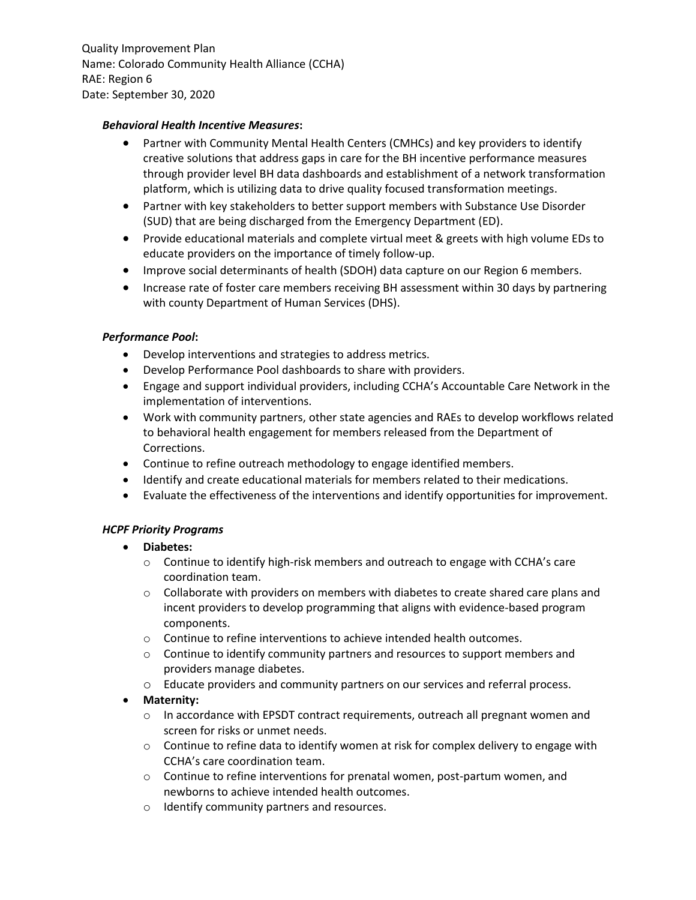#### *Behavioral Health Incentive Measures***:**

- Partner with Community Mental Health Centers (CMHCs) and key providers to identify creative solutions that address gaps in care for the BH incentive performance measures through provider level BH data dashboards and establishment of a network transformation platform, which is utilizing data to drive quality focused transformation meetings.
- Partner with key stakeholders to better support members with Substance Use Disorder (SUD) that are being discharged from the Emergency Department (ED).
- Provide educational materials and complete virtual meet & greets with high volume EDs to educate providers on the importance of timely follow-up.
- Improve social determinants of health (SDOH) data capture on our Region 6 members.
- Increase rate of foster care members receiving BH assessment within 30 days by partnering with county Department of Human Services (DHS).

### *Performance Pool***:**

- Develop interventions and strategies to address metrics.
- Develop Performance Pool dashboards to share with providers.
- Engage and support individual providers, including CCHA's Accountable Care Network in the implementation of interventions.
- Work with community partners, other state agencies and RAEs to develop workflows related to behavioral health engagement for members released from the Department of Corrections.
- Continue to refine outreach methodology to engage identified members.
- Identify and create educational materials for members related to their medications.
- Evaluate the effectiveness of the interventions and identify opportunities for improvement.

## *HCPF Priority Programs*

- **Diabetes:**
	- $\circ$  Continue to identify high-risk members and outreach to engage with CCHA's care coordination team.
	- $\circ$  Collaborate with providers on members with diabetes to create shared care plans and incent providers to develop programming that aligns with evidence-based program components.
	- o Continue to refine interventions to achieve intended health outcomes.
	- $\circ$  Continue to identify community partners and resources to support members and providers manage diabetes.
	- o Educate providers and community partners on our services and referral process.

## **Maternity:**

- $\circ$  In accordance with EPSDT contract requirements, outreach all pregnant women and screen for risks or unmet needs.
- $\circ$  Continue to refine data to identify women at risk for complex delivery to engage with CCHA's care coordination team.
- $\circ$  Continue to refine interventions for prenatal women, post-partum women, and newborns to achieve intended health outcomes.
- o Identify community partners and resources.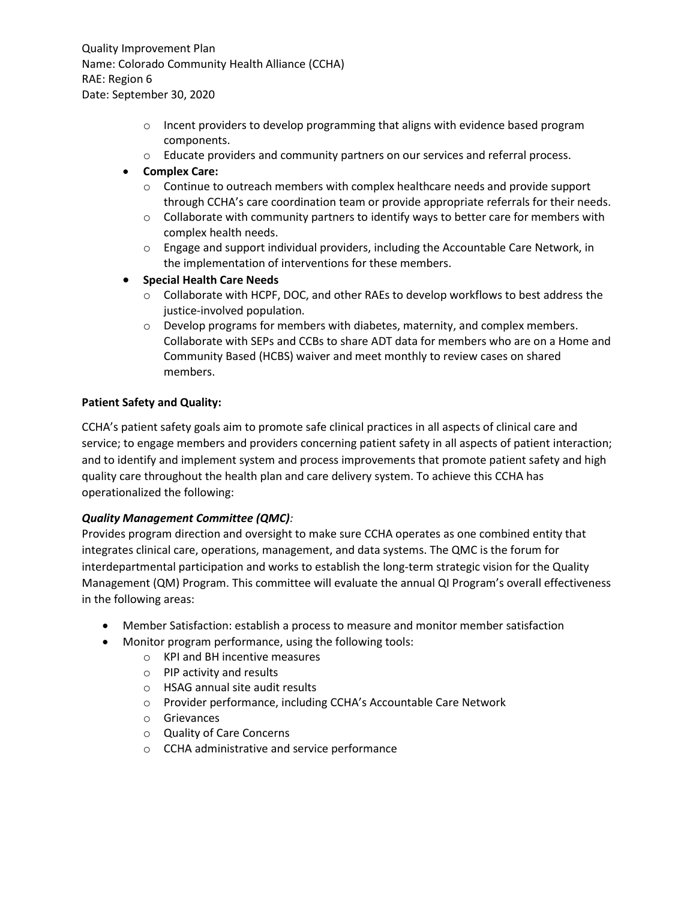- $\circ$  Incent providers to develop programming that aligns with evidence based program components.
- o Educate providers and community partners on our services and referral process.

### **Complex Care:**

- $\circ$  Continue to outreach members with complex healthcare needs and provide support through CCHA's care coordination team or provide appropriate referrals for their needs.
- $\circ$  Collaborate with community partners to identify ways to better care for members with complex health needs.
- $\circ$  Engage and support individual providers, including the Accountable Care Network, in the implementation of interventions for these members.
- **Special Health Care Needs**
	- $\circ$  Collaborate with HCPF, DOC, and other RAEs to develop workflows to best address the justice-involved population.
	- $\circ$  Develop programs for members with diabetes, maternity, and complex members. Collaborate with SEPs and CCBs to share ADT data for members who are on a Home and Community Based (HCBS) waiver and meet monthly to review cases on shared members.

### **Patient Safety and Quality:**

CCHA's patient safety goals aim to promote safe clinical practices in all aspects of clinical care and service; to engage members and providers concerning patient safety in all aspects of patient interaction; and to identify and implement system and process improvements that promote patient safety and high quality care throughout the health plan and care delivery system. To achieve this CCHA has operationalized the following:

## *Quality Management Committee (QMC):*

Provides program direction and oversight to make sure CCHA operates as one combined entity that integrates clinical care, operations, management, and data systems. The QMC is the forum for interdepartmental participation and works to establish the long-term strategic vision for the Quality Management (QM) Program. This committee will evaluate the annual QI Program's overall effectiveness in the following areas:

- Member Satisfaction: establish a process to measure and monitor member satisfaction
- Monitor program performance, using the following tools:
	- o KPI and BH incentive measures
	- o PIP activity and results
	- o HSAG annual site audit results
	- o Provider performance, including CCHA's Accountable Care Network
	- o Grievances
	- o Quality of Care Concerns
	- o CCHA administrative and service performance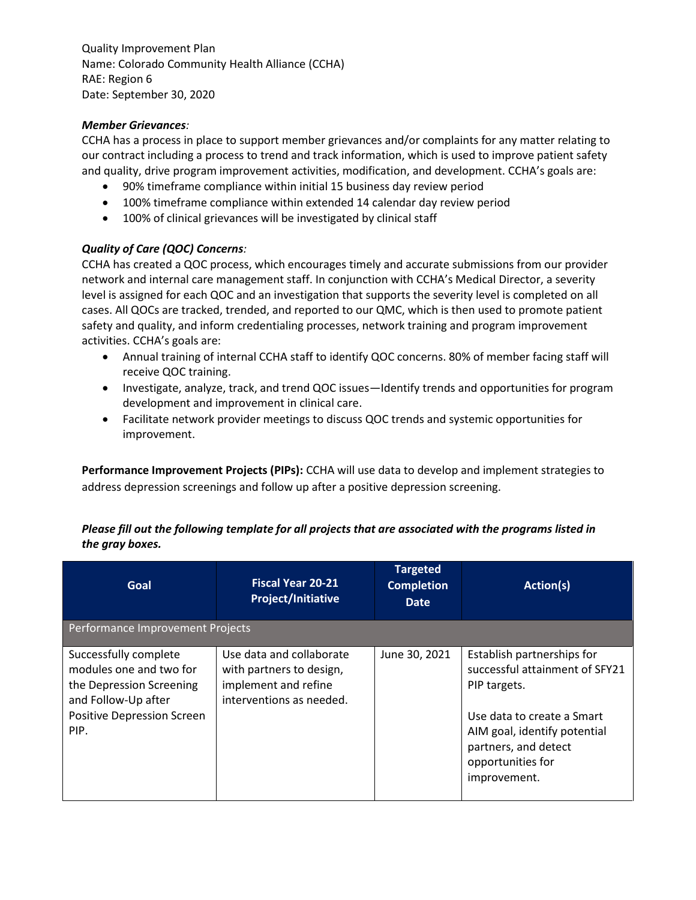### *Member Grievances:*

CCHA has a process in place to support member grievances and/or complaints for any matter relating to our contract including a process to trend and track information, which is used to improve patient safety and quality, drive program improvement activities, modification, and development. CCHA's goals are:

- 90% timeframe compliance within initial 15 business day review period
- 100% timeframe compliance within extended 14 calendar day review period
- 100% of clinical grievances will be investigated by clinical staff

### *Quality of Care (QOC) Concerns:*

CCHA has created a QOC process, which encourages timely and accurate submissions from our provider network and internal care management staff. In conjunction with CCHA's Medical Director, a severity level is assigned for each QOC and an investigation that supports the severity level is completed on all cases. All QOCs are tracked, trended, and reported to our QMC, which is then used to promote patient safety and quality, and inform credentialing processes, network training and program improvement activities. CCHA's goals are:

- Annual training of internal CCHA staff to identify QOC concerns. 80% of member facing staff will receive QOC training.
- Investigate, analyze, track, and trend QOC issues—Identify trends and opportunities for program development and improvement in clinical care.
- Facilitate network provider meetings to discuss QOC trends and systemic opportunities for improvement.

**Performance Improvement Projects (PIPs):** CCHA will use data to develop and implement strategies to address depression screenings and follow up after a positive depression screening.

| Please fill out the following template for all projects that are associated with the programs listed in |
|---------------------------------------------------------------------------------------------------------|
| the gray boxes.                                                                                         |

| Goal                                                                                                                                             | <b>Fiscal Year 20-21</b><br><b>Project/Initiative</b>                                                    | <b>Targeted</b><br><b>Completion</b><br><b>Date</b> | Action(s)                                                                                                                                                                                               |
|--------------------------------------------------------------------------------------------------------------------------------------------------|----------------------------------------------------------------------------------------------------------|-----------------------------------------------------|---------------------------------------------------------------------------------------------------------------------------------------------------------------------------------------------------------|
| Performance Improvement Projects                                                                                                                 |                                                                                                          |                                                     |                                                                                                                                                                                                         |
| Successfully complete<br>modules one and two for<br>the Depression Screening<br>and Follow-Up after<br><b>Positive Depression Screen</b><br>PIP. | Use data and collaborate<br>with partners to design,<br>implement and refine<br>interventions as needed. | June 30, 2021                                       | Establish partnerships for<br>successful attainment of SFY21<br>PIP targets.<br>Use data to create a Smart<br>AIM goal, identify potential<br>partners, and detect<br>opportunities for<br>improvement. |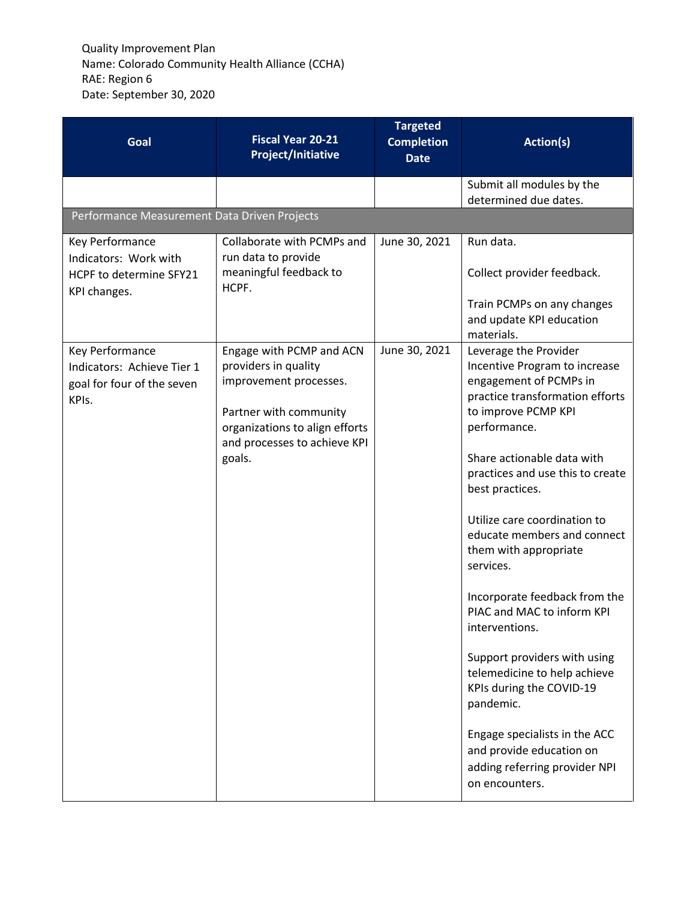| Goal                                                                                 | <b>Fiscal Year 20-21</b><br><b>Project/Initiative</b>                                                                                                                            | <b>Targeted</b><br><b>Completion</b><br><b>Date</b> | Action(s)                                                                                                                                                                                                                                                                                                                                                                                                                                                                                                                                                                                                                                                      |
|--------------------------------------------------------------------------------------|----------------------------------------------------------------------------------------------------------------------------------------------------------------------------------|-----------------------------------------------------|----------------------------------------------------------------------------------------------------------------------------------------------------------------------------------------------------------------------------------------------------------------------------------------------------------------------------------------------------------------------------------------------------------------------------------------------------------------------------------------------------------------------------------------------------------------------------------------------------------------------------------------------------------------|
|                                                                                      |                                                                                                                                                                                  |                                                     | Submit all modules by the<br>determined due dates.                                                                                                                                                                                                                                                                                                                                                                                                                                                                                                                                                                                                             |
| Performance Measurement Data Driven Projects                                         |                                                                                                                                                                                  |                                                     |                                                                                                                                                                                                                                                                                                                                                                                                                                                                                                                                                                                                                                                                |
| Key Performance<br>Indicators: Work with<br>HCPF to determine SFY21<br>KPI changes.  | Collaborate with PCMPs and<br>run data to provide<br>meaningful feedback to<br>HCPF.                                                                                             | June 30, 2021                                       | Run data.<br>Collect provider feedback.<br>Train PCMPs on any changes<br>and update KPI education<br>materials.                                                                                                                                                                                                                                                                                                                                                                                                                                                                                                                                                |
| Key Performance<br>Indicators: Achieve Tier 1<br>goal for four of the seven<br>KPIs. | Engage with PCMP and ACN<br>providers in quality<br>improvement processes.<br>Partner with community<br>organizations to align efforts<br>and processes to achieve KPI<br>goals. | June 30, 2021                                       | Leverage the Provider<br>Incentive Program to increase<br>engagement of PCMPs in<br>practice transformation efforts<br>to improve PCMP KPI<br>performance.<br>Share actionable data with<br>practices and use this to create<br>best practices.<br>Utilize care coordination to<br>educate members and connect<br>them with appropriate<br>services.<br>Incorporate feedback from the<br>PIAC and MAC to inform KPI<br>interventions.<br>Support providers with using<br>telemedicine to help achieve<br>KPIs during the COVID-19<br>pandemic.<br>Engage specialists in the ACC<br>and provide education on<br>adding referring provider NPI<br>on encounters. |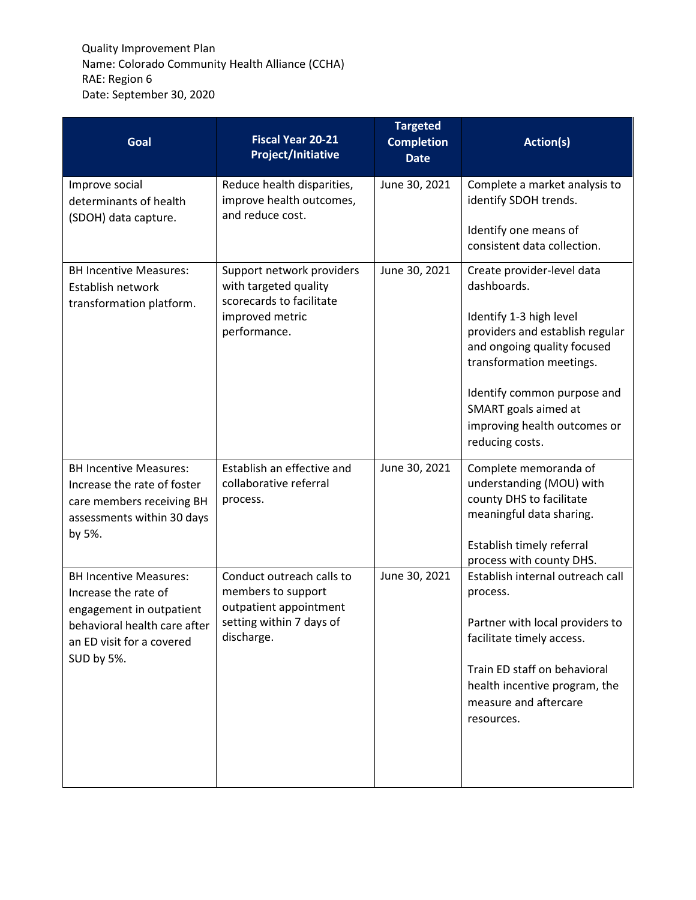| Goal                                                                                                                                                         | <b>Fiscal Year 20-21</b><br><b>Project/Initiative</b>                                                               | <b>Targeted</b><br><b>Completion</b><br><b>Date</b> | Action(s)                                                                                                                                                                                                                                                                    |
|--------------------------------------------------------------------------------------------------------------------------------------------------------------|---------------------------------------------------------------------------------------------------------------------|-----------------------------------------------------|------------------------------------------------------------------------------------------------------------------------------------------------------------------------------------------------------------------------------------------------------------------------------|
| Improve social<br>determinants of health<br>(SDOH) data capture.                                                                                             | Reduce health disparities,<br>improve health outcomes,<br>and reduce cost.                                          | June 30, 2021                                       | Complete a market analysis to<br>identify SDOH trends.<br>Identify one means of<br>consistent data collection.                                                                                                                                                               |
| <b>BH Incentive Measures:</b><br>Establish network<br>transformation platform.                                                                               | Support network providers<br>with targeted quality<br>scorecards to facilitate<br>improved metric<br>performance.   | June 30, 2021                                       | Create provider-level data<br>dashboards.<br>Identify 1-3 high level<br>providers and establish regular<br>and ongoing quality focused<br>transformation meetings.<br>Identify common purpose and<br>SMART goals aimed at<br>improving health outcomes or<br>reducing costs. |
| <b>BH Incentive Measures:</b><br>Increase the rate of foster<br>care members receiving BH<br>assessments within 30 days<br>by 5%.                            | Establish an effective and<br>collaborative referral<br>process.                                                    | June 30, 2021                                       | Complete memoranda of<br>understanding (MOU) with<br>county DHS to facilitate<br>meaningful data sharing.<br>Establish timely referral<br>process with county DHS.                                                                                                           |
| <b>BH Incentive Measures:</b><br>Increase the rate of<br>engagement in outpatient<br>behavioral health care after<br>an ED visit for a covered<br>SUD by 5%. | Conduct outreach calls to<br>members to support<br>outpatient appointment<br>setting within 7 days of<br>discharge. | June 30, 2021                                       | Establish internal outreach call<br>process.<br>Partner with local providers to<br>facilitate timely access.<br>Train ED staff on behavioral<br>health incentive program, the<br>measure and aftercare<br>resources.                                                         |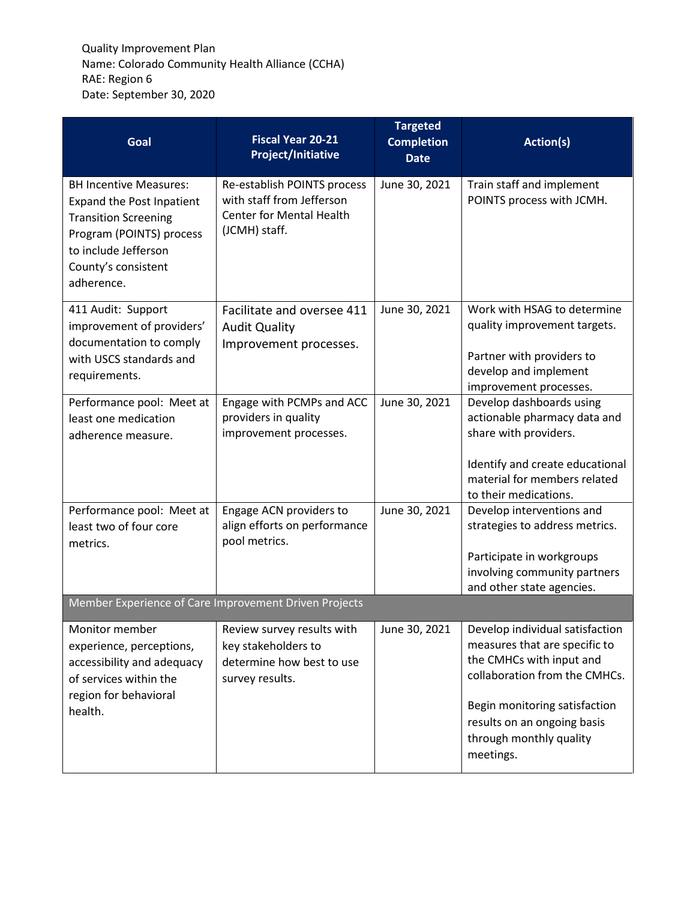| Goal                                                                                                                                                                                      | <b>Fiscal Year 20-21</b><br><b>Project/Initiative</b>                                                        | <b>Targeted</b><br><b>Completion</b><br><b>Date</b> | Action(s)                                                                                                                                                                                                                             |
|-------------------------------------------------------------------------------------------------------------------------------------------------------------------------------------------|--------------------------------------------------------------------------------------------------------------|-----------------------------------------------------|---------------------------------------------------------------------------------------------------------------------------------------------------------------------------------------------------------------------------------------|
| <b>BH Incentive Measures:</b><br><b>Expand the Post Inpatient</b><br><b>Transition Screening</b><br>Program (POINTS) process<br>to include Jefferson<br>County's consistent<br>adherence. | Re-establish POINTS process<br>with staff from Jefferson<br><b>Center for Mental Health</b><br>(JCMH) staff. | June 30, 2021                                       | Train staff and implement<br>POINTS process with JCMH.                                                                                                                                                                                |
| 411 Audit: Support<br>improvement of providers'<br>documentation to comply<br>with USCS standards and<br>requirements.                                                                    | Facilitate and oversee 411<br><b>Audit Quality</b><br>Improvement processes.                                 | June 30, 2021                                       | Work with HSAG to determine<br>quality improvement targets.<br>Partner with providers to<br>develop and implement<br>improvement processes.                                                                                           |
| Performance pool: Meet at<br>least one medication<br>adherence measure.                                                                                                                   | Engage with PCMPs and ACC<br>providers in quality<br>improvement processes.                                  | June 30, 2021                                       | Develop dashboards using<br>actionable pharmacy data and<br>share with providers.<br>Identify and create educational<br>material for members related<br>to their medications.                                                         |
| Performance pool: Meet at<br>least two of four core<br>metrics.                                                                                                                           | Engage ACN providers to<br>align efforts on performance<br>pool metrics.                                     | June 30, 2021                                       | Develop interventions and<br>strategies to address metrics.<br>Participate in workgroups<br>involving community partners<br>and other state agencies.                                                                                 |
|                                                                                                                                                                                           | Member Experience of Care Improvement Driven Projects                                                        |                                                     |                                                                                                                                                                                                                                       |
| Monitor member<br>experience, perceptions,<br>accessibility and adequacy<br>of services within the<br>region for behavioral<br>health.                                                    | Review survey results with<br>key stakeholders to<br>determine how best to use<br>survey results.            | June 30, 2021                                       | Develop individual satisfaction<br>measures that are specific to<br>the CMHCs with input and<br>collaboration from the CMHCs.<br>Begin monitoring satisfaction<br>results on an ongoing basis<br>through monthly quality<br>meetings. |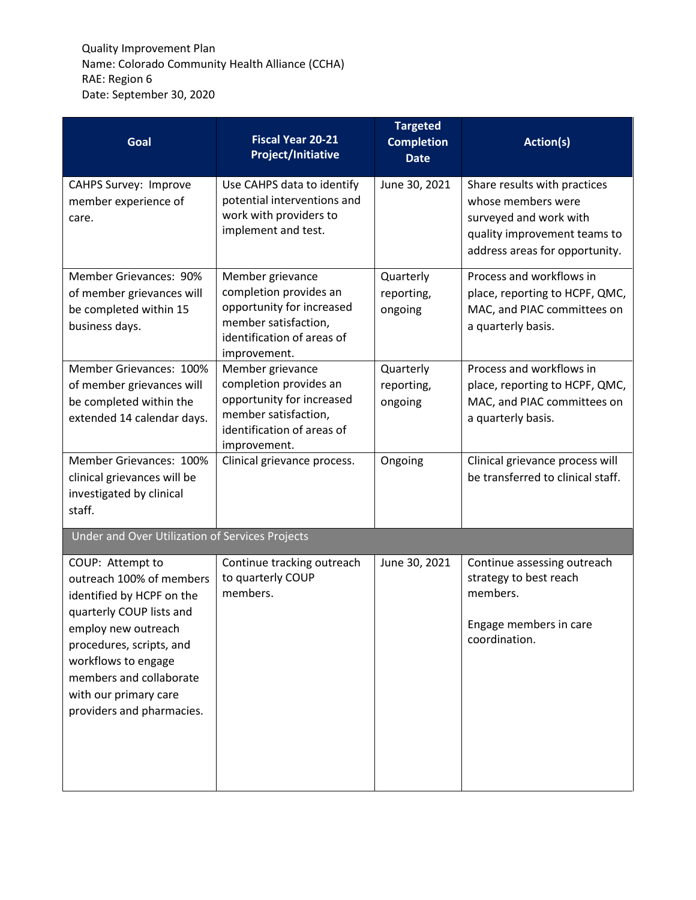| Goal                                                                                                                                                                                                                                                             | <b>Fiscal Year 20-21</b><br><b>Project/Initiative</b>                                                                                         | <b>Targeted</b><br><b>Completion</b><br><b>Date</b> | Action(s)                                                                                                                                      |
|------------------------------------------------------------------------------------------------------------------------------------------------------------------------------------------------------------------------------------------------------------------|-----------------------------------------------------------------------------------------------------------------------------------------------|-----------------------------------------------------|------------------------------------------------------------------------------------------------------------------------------------------------|
| <b>CAHPS Survey: Improve</b><br>member experience of<br>care.                                                                                                                                                                                                    | Use CAHPS data to identify<br>potential interventions and<br>work with providers to<br>implement and test.                                    | June 30, 2021                                       | Share results with practices<br>whose members were<br>surveyed and work with<br>quality improvement teams to<br>address areas for opportunity. |
| Member Grievances: 90%<br>of member grievances will<br>be completed within 15<br>business days.                                                                                                                                                                  | Member grievance<br>completion provides an<br>opportunity for increased<br>member satisfaction,<br>identification of areas of<br>improvement. | Quarterly<br>reporting,<br>ongoing                  | Process and workflows in<br>place, reporting to HCPF, QMC,<br>MAC, and PIAC committees on<br>a quarterly basis.                                |
| Member Grievances: 100%<br>of member grievances will<br>be completed within the<br>extended 14 calendar days.                                                                                                                                                    | Member grievance<br>completion provides an<br>opportunity for increased<br>member satisfaction,<br>identification of areas of<br>improvement. | Quarterly<br>reporting,<br>ongoing                  | Process and workflows in<br>place, reporting to HCPF, QMC,<br>MAC, and PIAC committees on<br>a quarterly basis.                                |
| Member Grievances: 100%<br>clinical grievances will be<br>investigated by clinical<br>staff.                                                                                                                                                                     | Clinical grievance process.                                                                                                                   | Ongoing                                             | Clinical grievance process will<br>be transferred to clinical staff.                                                                           |
| Under and Over Utilization of Services Projects                                                                                                                                                                                                                  |                                                                                                                                               |                                                     |                                                                                                                                                |
| COUP: Attempt to<br>outreach 100% of members<br>identified by HCPF on the<br>quarterly COUP lists and<br>employ new outreach<br>procedures, scripts, and<br>workflows to engage<br>members and collaborate<br>with our primary care<br>providers and pharmacies. | Continue tracking outreach<br>to quarterly COUP<br>members.                                                                                   | June 30, 2021                                       | Continue assessing outreach<br>strategy to best reach<br>members.<br>Engage members in care<br>coordination.                                   |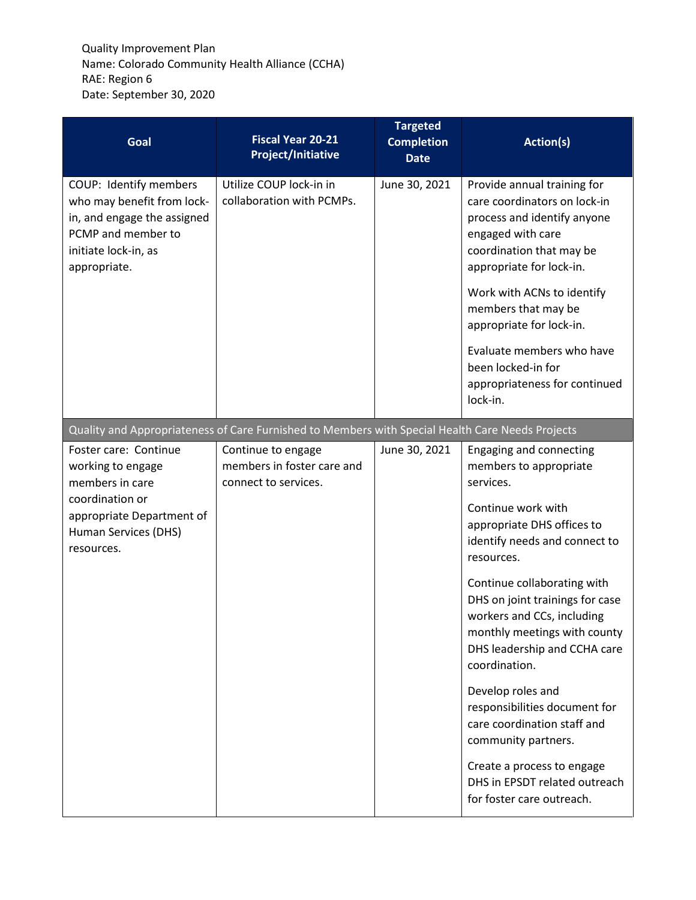| Goal                                                                                                                                                | <b>Fiscal Year 20-21</b><br><b>Project/Initiative</b>                                            | <b>Targeted</b><br><b>Completion</b><br><b>Date</b> | Action(s)                                                                                                                                                                                                                                                                                                                                                                                                                                                                                                                                                  |
|-----------------------------------------------------------------------------------------------------------------------------------------------------|--------------------------------------------------------------------------------------------------|-----------------------------------------------------|------------------------------------------------------------------------------------------------------------------------------------------------------------------------------------------------------------------------------------------------------------------------------------------------------------------------------------------------------------------------------------------------------------------------------------------------------------------------------------------------------------------------------------------------------------|
| COUP: Identify members<br>who may benefit from lock-<br>in, and engage the assigned<br>PCMP and member to<br>initiate lock-in, as<br>appropriate.   | Utilize COUP lock-in in<br>collaboration with PCMPs.                                             | June 30, 2021                                       | Provide annual training for<br>care coordinators on lock-in<br>process and identify anyone<br>engaged with care<br>coordination that may be<br>appropriate for lock-in.<br>Work with ACNs to identify<br>members that may be<br>appropriate for lock-in.<br>Evaluate members who have<br>been locked-in for<br>appropriateness for continued<br>lock-in.                                                                                                                                                                                                   |
|                                                                                                                                                     | Quality and Appropriateness of Care Furnished to Members with Special Health Care Needs Projects |                                                     |                                                                                                                                                                                                                                                                                                                                                                                                                                                                                                                                                            |
| Foster care: Continue<br>working to engage<br>members in care<br>coordination or<br>appropriate Department of<br>Human Services (DHS)<br>resources. | Continue to engage<br>members in foster care and<br>connect to services.                         | June 30, 2021                                       | Engaging and connecting<br>members to appropriate<br>services.<br>Continue work with<br>appropriate DHS offices to<br>identify needs and connect to<br>resources.<br>Continue collaborating with<br>DHS on joint trainings for case<br>workers and CCs, including<br>monthly meetings with county<br>DHS leadership and CCHA care<br>coordination.<br>Develop roles and<br>responsibilities document for<br>care coordination staff and<br>community partners.<br>Create a process to engage<br>DHS in EPSDT related outreach<br>for foster care outreach. |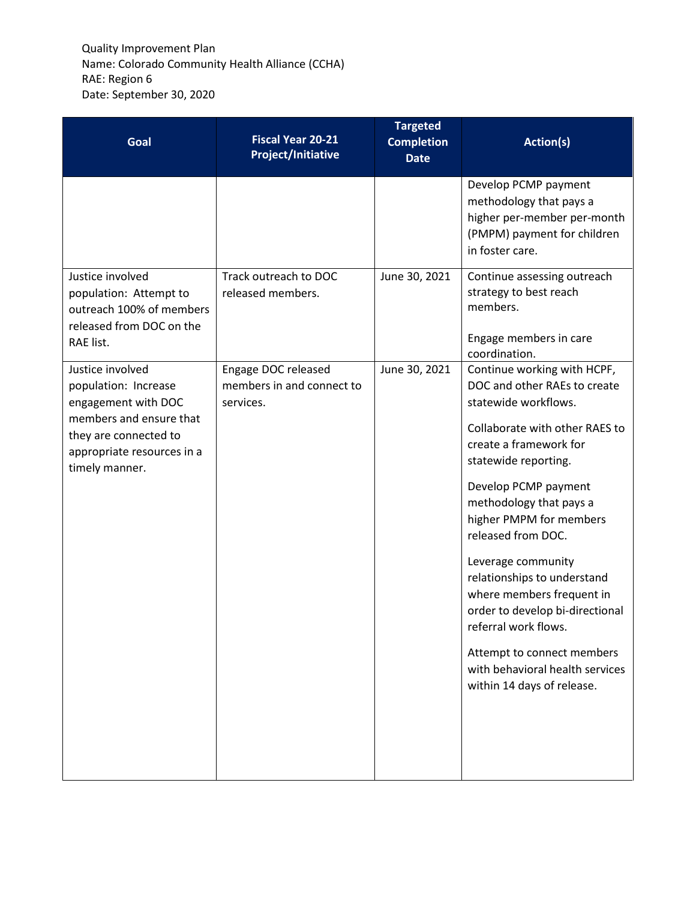| Goal                                                                                                                                                                | <b>Fiscal Year 20-21</b><br><b>Project/Initiative</b>         | <b>Targeted</b><br><b>Completion</b><br><b>Date</b> | Action(s)                                                                                                                                                                                                                                                                                                                                                                                                                                                                                                               |
|---------------------------------------------------------------------------------------------------------------------------------------------------------------------|---------------------------------------------------------------|-----------------------------------------------------|-------------------------------------------------------------------------------------------------------------------------------------------------------------------------------------------------------------------------------------------------------------------------------------------------------------------------------------------------------------------------------------------------------------------------------------------------------------------------------------------------------------------------|
|                                                                                                                                                                     |                                                               |                                                     | Develop PCMP payment<br>methodology that pays a<br>higher per-member per-month<br>(PMPM) payment for children<br>in foster care.                                                                                                                                                                                                                                                                                                                                                                                        |
| Justice involved<br>population: Attempt to<br>outreach 100% of members<br>released from DOC on the<br>RAE list.                                                     | Track outreach to DOC<br>released members.                    | June 30, 2021                                       | Continue assessing outreach<br>strategy to best reach<br>members.<br>Engage members in care<br>coordination.                                                                                                                                                                                                                                                                                                                                                                                                            |
| Justice involved<br>population: Increase<br>engagement with DOC<br>members and ensure that<br>they are connected to<br>appropriate resources in a<br>timely manner. | Engage DOC released<br>members in and connect to<br>services. | June 30, 2021                                       | Continue working with HCPF,<br>DOC and other RAEs to create<br>statewide workflows.<br>Collaborate with other RAES to<br>create a framework for<br>statewide reporting.<br>Develop PCMP payment<br>methodology that pays a<br>higher PMPM for members<br>released from DOC.<br>Leverage community<br>relationships to understand<br>where members frequent in<br>order to develop bi-directional<br>referral work flows.<br>Attempt to connect members<br>with behavioral health services<br>within 14 days of release. |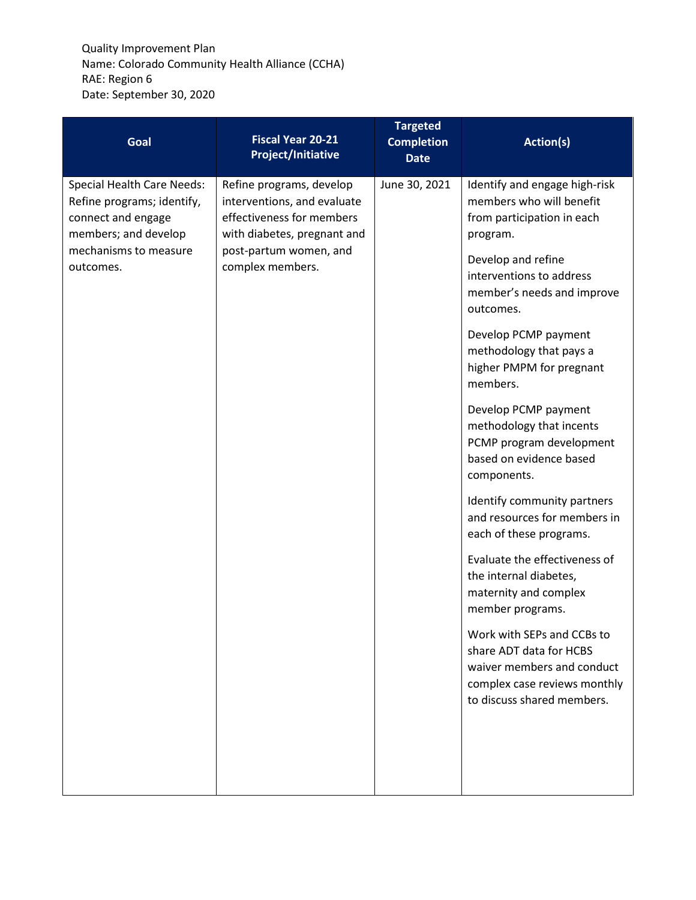| Goal                                                                                                          | <b>Fiscal Year 20-21</b><br><b>Project/Initiative</b>                                                               | <b>Targeted</b><br><b>Completion</b><br><b>Date</b> | Action(s)                                                                                                                                         |
|---------------------------------------------------------------------------------------------------------------|---------------------------------------------------------------------------------------------------------------------|-----------------------------------------------------|---------------------------------------------------------------------------------------------------------------------------------------------------|
| <b>Special Health Care Needs:</b><br>Refine programs; identify,<br>connect and engage<br>members; and develop | Refine programs, develop<br>interventions, and evaluate<br>effectiveness for members<br>with diabetes, pregnant and | June 30, 2021                                       | Identify and engage high-risk<br>members who will benefit<br>from participation in each<br>program.                                               |
| outcomes.                                                                                                     | mechanisms to measure<br>post-partum women, and<br>complex members.                                                 |                                                     | Develop and refine<br>interventions to address<br>member's needs and improve<br>outcomes.                                                         |
|                                                                                                               |                                                                                                                     |                                                     | Develop PCMP payment<br>methodology that pays a<br>higher PMPM for pregnant<br>members.                                                           |
|                                                                                                               |                                                                                                                     |                                                     | Develop PCMP payment<br>methodology that incents<br>PCMP program development<br>based on evidence based<br>components.                            |
|                                                                                                               |                                                                                                                     |                                                     | Identify community partners<br>and resources for members in<br>each of these programs.                                                            |
|                                                                                                               |                                                                                                                     |                                                     | Evaluate the effectiveness of<br>the internal diabetes,<br>maternity and complex<br>member programs.                                              |
|                                                                                                               |                                                                                                                     |                                                     | Work with SEPs and CCBs to<br>share ADT data for HCBS<br>waiver members and conduct<br>complex case reviews monthly<br>to discuss shared members. |
|                                                                                                               |                                                                                                                     |                                                     |                                                                                                                                                   |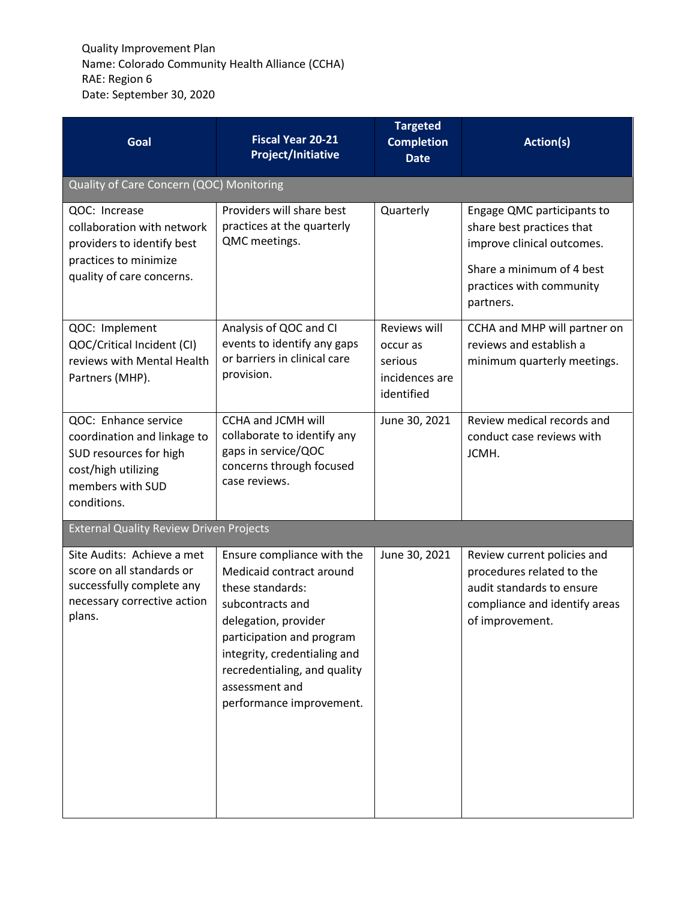| Goal                                                                                                                                    | <b>Fiscal Year 20-21</b><br><b>Project/Initiative</b>                                                                                                                                                                                                             | <b>Targeted</b><br><b>Completion</b><br><b>Date</b>                 | <b>Action(s)</b>                                                                                                                                            |
|-----------------------------------------------------------------------------------------------------------------------------------------|-------------------------------------------------------------------------------------------------------------------------------------------------------------------------------------------------------------------------------------------------------------------|---------------------------------------------------------------------|-------------------------------------------------------------------------------------------------------------------------------------------------------------|
| Quality of Care Concern (QOC) Monitoring                                                                                                |                                                                                                                                                                                                                                                                   |                                                                     |                                                                                                                                                             |
| QOC: Increase<br>collaboration with network<br>providers to identify best<br>practices to minimize<br>quality of care concerns.         | Providers will share best<br>practices at the quarterly<br>QMC meetings.                                                                                                                                                                                          | Quarterly                                                           | Engage QMC participants to<br>share best practices that<br>improve clinical outcomes.<br>Share a minimum of 4 best<br>practices with community<br>partners. |
| QOC: Implement<br>QOC/Critical Incident (CI)<br>reviews with Mental Health<br>Partners (MHP).                                           | Analysis of QOC and CI<br>events to identify any gaps<br>or barriers in clinical care<br>provision.                                                                                                                                                               | Reviews will<br>occur as<br>serious<br>incidences are<br>identified | CCHA and MHP will partner on<br>reviews and establish a<br>minimum quarterly meetings.                                                                      |
| QOC: Enhance service<br>coordination and linkage to<br>SUD resources for high<br>cost/high utilizing<br>members with SUD<br>conditions. | CCHA and JCMH will<br>collaborate to identify any<br>gaps in service/QOC<br>concerns through focused<br>case reviews.                                                                                                                                             | June 30, 2021                                                       | Review medical records and<br>conduct case reviews with<br>JCMH.                                                                                            |
| <b>External Quality Review Driven Projects</b>                                                                                          |                                                                                                                                                                                                                                                                   |                                                                     |                                                                                                                                                             |
| Site Audits: Achieve a met<br>score on all standards or<br>successfully complete any<br>necessary corrective action<br>plans.           | Ensure compliance with the<br>Medicaid contract around<br>these standards:<br>subcontracts and<br>delegation, provider<br>participation and program<br>integrity, credentialing and<br>recredentialing, and quality<br>assessment and<br>performance improvement. | June 30, 2021                                                       | Review current policies and<br>procedures related to the<br>audit standards to ensure<br>compliance and identify areas<br>of improvement.                   |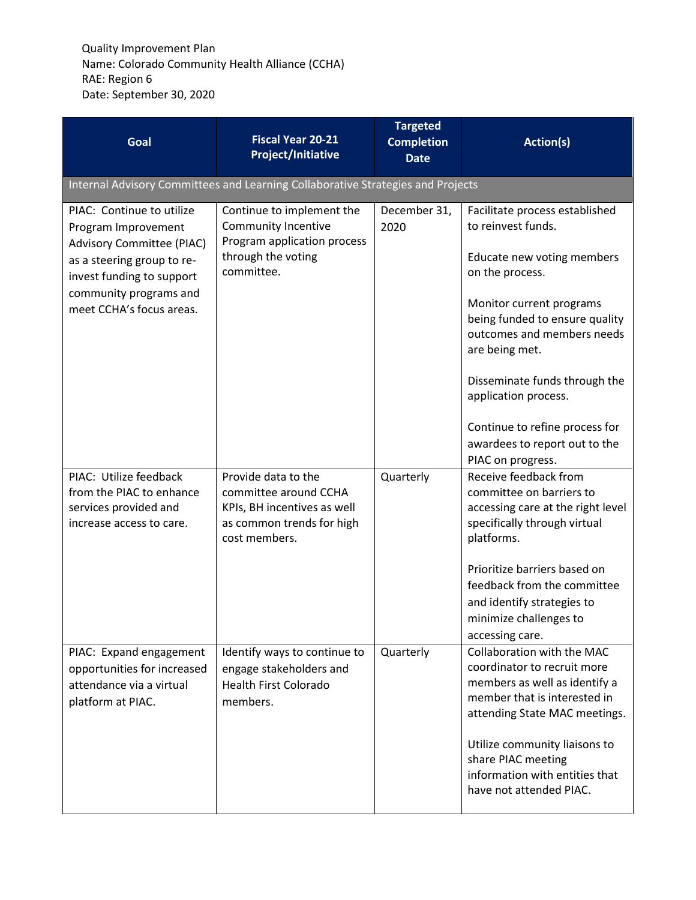| Goal                                                                                                                                                                                           | <b>Fiscal Year 20-21</b><br><b>Project/Initiative</b>                                                                      | <b>Targeted</b><br><b>Completion</b><br><b>Date</b> | Action(s)                                                                                                                                                                                                                                                                                                                                                            |
|------------------------------------------------------------------------------------------------------------------------------------------------------------------------------------------------|----------------------------------------------------------------------------------------------------------------------------|-----------------------------------------------------|----------------------------------------------------------------------------------------------------------------------------------------------------------------------------------------------------------------------------------------------------------------------------------------------------------------------------------------------------------------------|
|                                                                                                                                                                                                | Internal Advisory Committees and Learning Collaborative Strategies and Projects                                            |                                                     |                                                                                                                                                                                                                                                                                                                                                                      |
| PIAC: Continue to utilize<br>Program Improvement<br>Advisory Committee (PIAC)<br>as a steering group to re-<br>invest funding to support<br>community programs and<br>meet CCHA's focus areas. | Continue to implement the<br><b>Community Incentive</b><br>Program application process<br>through the voting<br>committee. | December 31,<br>2020                                | Facilitate process established<br>to reinvest funds.<br>Educate new voting members<br>on the process.<br>Monitor current programs<br>being funded to ensure quality<br>outcomes and members needs<br>are being met.<br>Disseminate funds through the<br>application process.<br>Continue to refine process for<br>awardees to report out to the<br>PIAC on progress. |
| PIAC: Utilize feedback<br>from the PIAC to enhance<br>services provided and<br>increase access to care.                                                                                        | Provide data to the<br>committee around CCHA<br>KPIs, BH incentives as well<br>as common trends for high<br>cost members.  | Quarterly                                           | Receive feedback from<br>committee on barriers to<br>accessing care at the right level<br>specifically through virtual<br>platforms.<br>Prioritize barriers based on<br>feedback from the committee<br>and identify strategies to<br>minimize challenges to<br>accessing care.                                                                                       |
| PIAC: Expand engagement<br>opportunities for increased<br>attendance via a virtual<br>platform at PIAC.                                                                                        | Identify ways to continue to<br>engage stakeholders and<br><b>Health First Colorado</b><br>members.                        | Quarterly                                           | Collaboration with the MAC<br>coordinator to recruit more<br>members as well as identify a<br>member that is interested in<br>attending State MAC meetings.<br>Utilize community liaisons to<br>share PIAC meeting<br>information with entities that<br>have not attended PIAC.                                                                                      |